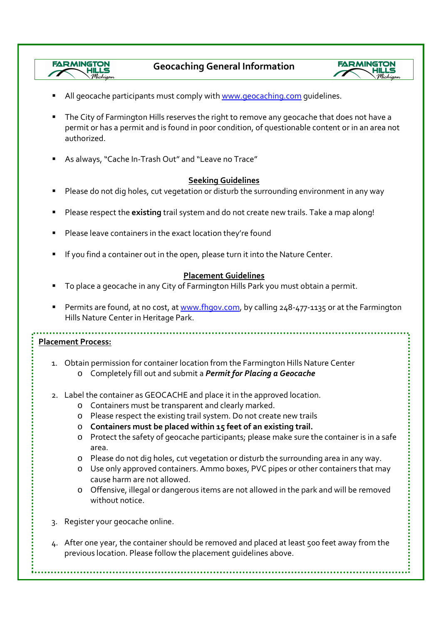

- All geocache participants must comply with www.geocaching.com quidelines.
- The City of Farmington Hills reserves the right to remove any geocache that does not have a permit or has a permit and is found in poor condition, of questionable content or in an area not authorized.
- As always, "Cache In-Trash Out" and "Leave no Trace"

## **Seeking Guidelines**

- Please do not dig holes, cut vegetation or disturb the surrounding environment in any way
- Please respect the **existing** trail system and do not create new trails. Take a map along!
- Please leave containers in the exact location they're found
- If you find a container out in the open, please turn it into the Nature Center.

## **Placement Guidelines**

- To place a geocache in any City of Farmington Hills Park you must obtain a permit.
- Permits are found, at no cost, at www.fhgov.com, by calling 248-477-1135 or at the Farmington Hills Nature Center in Heritage Park.

## **Placement Process:**

*FARMINGTON* 

- 1. Obtain permission for container location from the Farmington Hills Nature Center o Completely fill out and submit a *Permit for Placing a Geocache*
- 2. Label the container as GEOCACHE and place it in the approved location.
	- o Containers must be transparent and clearly marked.
	- o Please respect the existing trail system. Do not create new trails
	- o **Containers must be placed within 15 feet of an existing trail.**
	- o Protect the safety of geocache participants; please make sure the container is in a safe area.
	- o Please do not dig holes, cut vegetation or disturb the surrounding area in any way.
	- o Use only approved containers. Ammo boxes, PVC pipes or other containers that may cause harm are not allowed.
	- o Offensive, illegal or dangerous items are not allowed in the park and will be removed without notice.
- 3. Register your geocache online.
- 4. After one year, the container should be removed and placed at least 500 feet away from the previous location. Please follow the placement guidelines above.